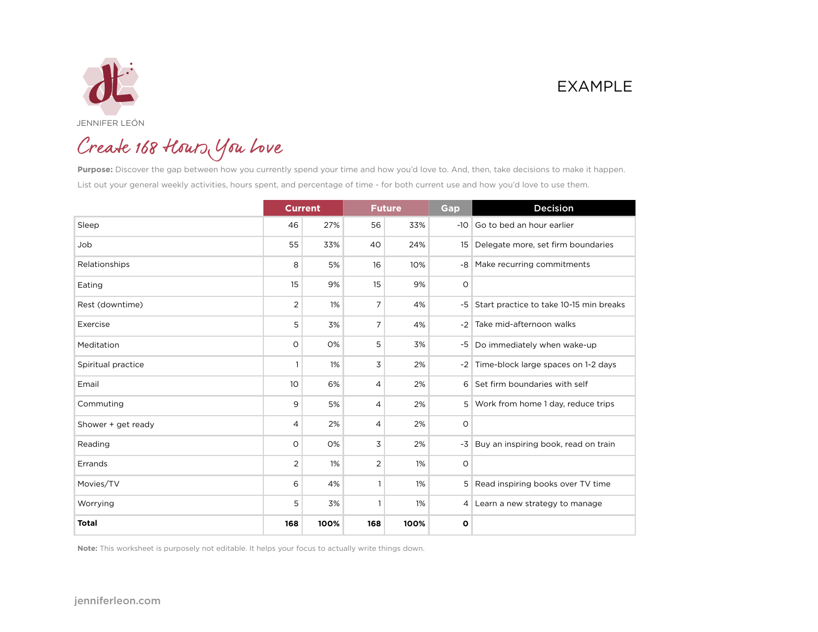

EXAMPLE

Create 168 Hours, You Love

**Purpose:** Discover the gap between how you currently spend your time and how you'd love to. And, then, take decisions to make it happen. List out your general weekly activities, hours spent, and percentage of time - for both current use and how you'd love to use them.

|                    | <b>Current</b> |      | <b>Future</b>  |      | Gap             | Decision                                   |
|--------------------|----------------|------|----------------|------|-----------------|--------------------------------------------|
| Sleep              | 46             | 27%  | 56             | 33%  | $-10$           | Go to bed an hour earlier                  |
| Job                | 55             | 33%  | 40             | 24%  | 15 <sup>1</sup> | Delegate more, set firm boundaries         |
| Relationships      | 8              | 5%   | 16             | 10%  |                 | -8 Make recurring commitments              |
| Eating             | 15             | 9%   | 15             | 9%   | O               |                                            |
| Rest (downtime)    | 2              | 1%   | 7              | 4%   |                 | -5 Start practice to take 10-15 min breaks |
| Exercise           | 5              | 3%   | 7              | 4%   | $-2$            | Take mid-afternoon walks                   |
| Meditation         | O              | 0%   | 5              | 3%   |                 | -5 Do immediately when wake-up             |
| Spiritual practice |                | 1%   | 3              | 2%   |                 | -2 Time-block large spaces on 1-2 days     |
| Email              | 10             | 6%   | $\overline{4}$ | 2%   | $6 \mid$        | Set firm boundaries with self              |
| Commuting          | 9              | 5%   | 4              | 2%   | 5 <sup>1</sup>  | Work from home 1 day, reduce trips         |
| Shower + get ready | 4              | 2%   | $\overline{4}$ | 2%   | O               |                                            |
| Reading            | O              | 0%   | 3              | 2%   | $-3$            | Buy an inspiring book, read on train       |
| Errands            | $\overline{2}$ | 1%   | $\overline{2}$ | 1%   | O               |                                            |
| Movies/TV          | 6              | 4%   | 1              | 1%   | 5 <sup>5</sup>  | Read inspiring books over TV time          |
| Worrying           | 5              | 3%   | 1              | 1%   |                 | 4 Learn a new strategy to manage           |
| <b>Total</b>       | 168            | 100% | 168            | 100% | O               |                                            |

**Note:** This worksheet is purposely not editable. It helps your focus to actually write things down.